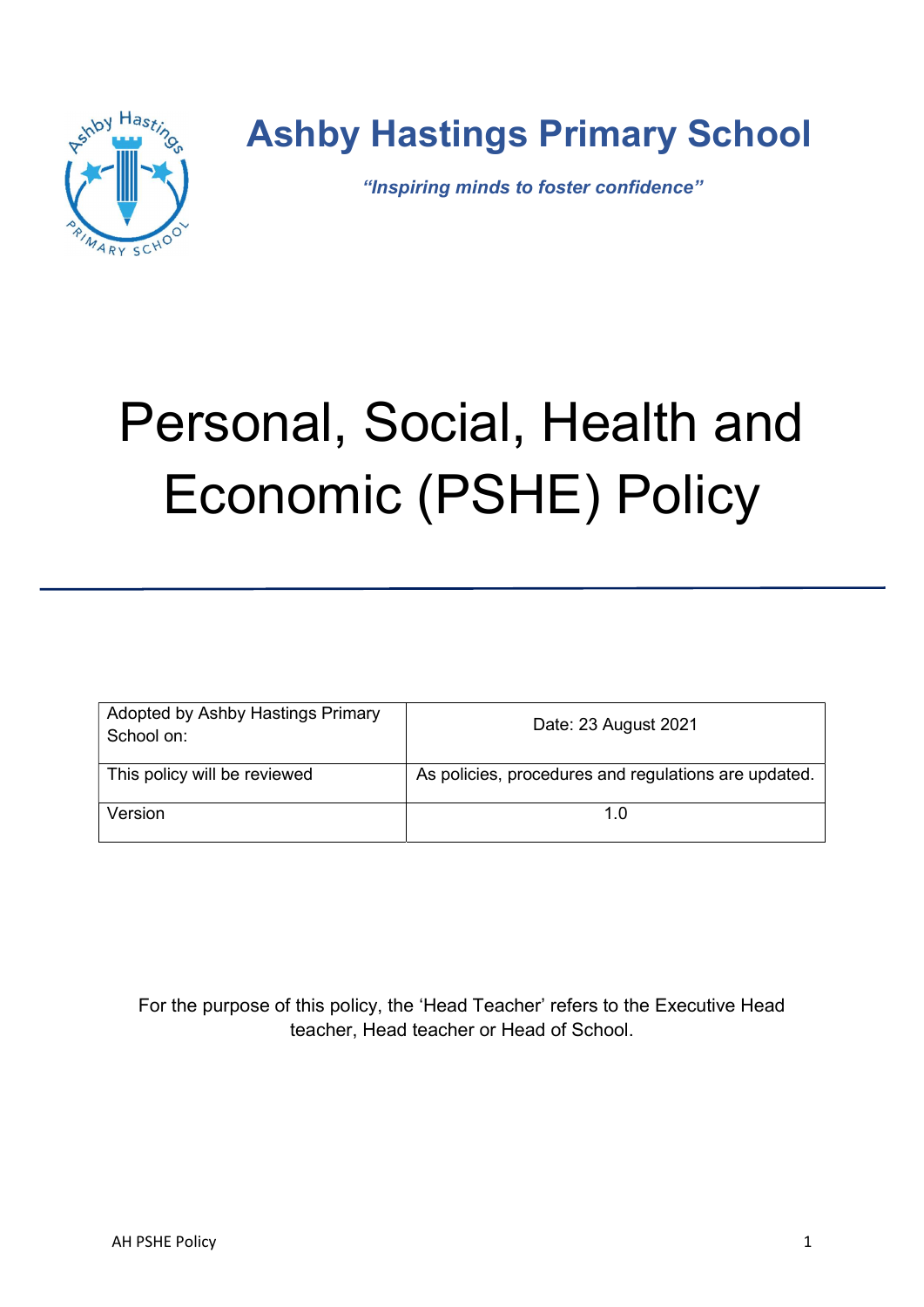

# Ashby Hastings Primary School

"Inspiring minds to foster confidence"

# Personal, Social, Health and Economic (PSHE) Policy

| Adopted by Ashby Hastings Primary<br>School on: | Date: 23 August 2021                                 |
|-------------------------------------------------|------------------------------------------------------|
| This policy will be reviewed                    | As policies, procedures and regulations are updated. |
| Version                                         |                                                      |

For the purpose of this policy, the 'Head Teacher' refers to the Executive Head teacher, Head teacher or Head of School.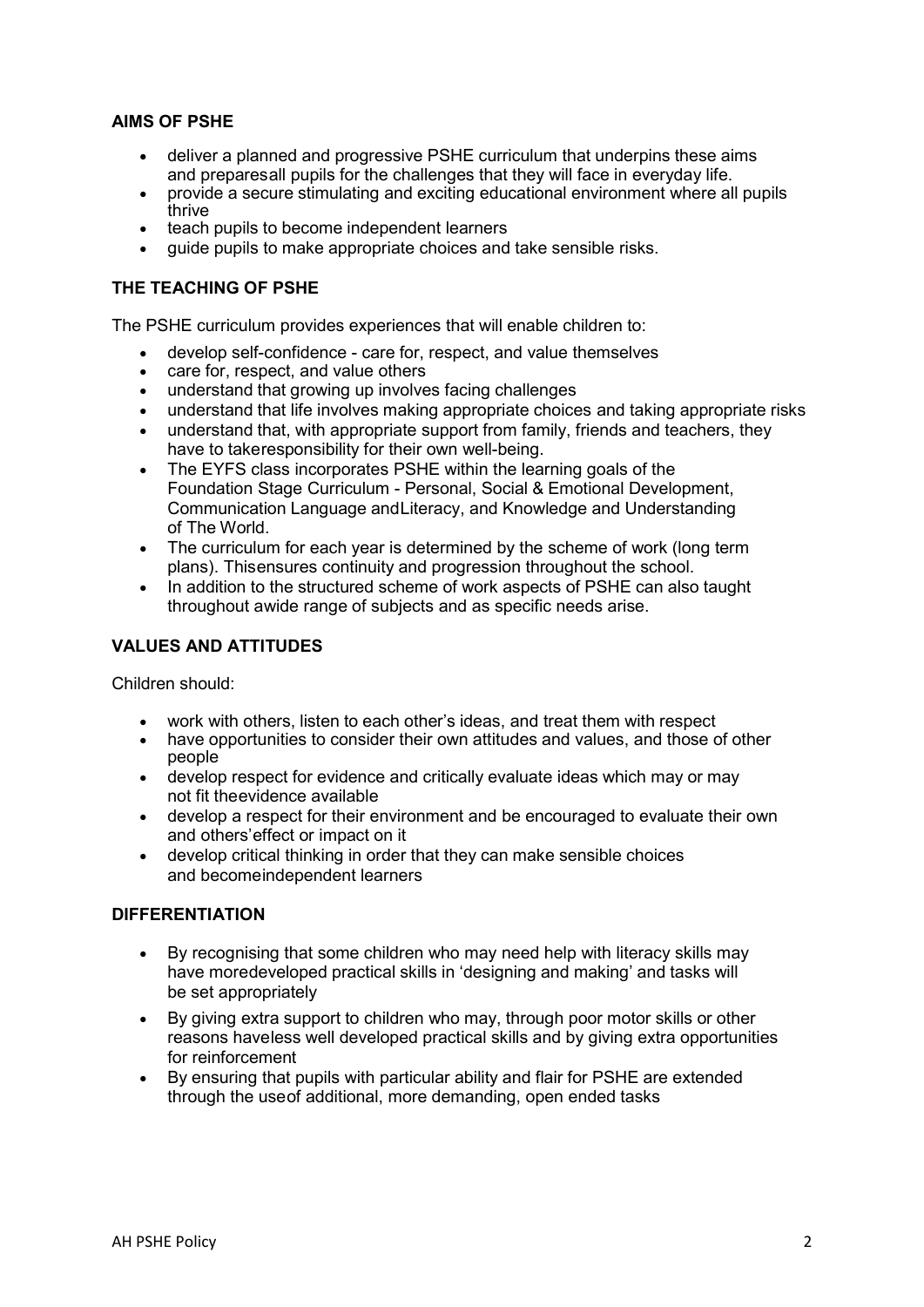# AIMS OF PSHE

- deliver a planned and progressive PSHE curriculum that underpins these aims and prepares all pupils for the challenges that they will face in everyday life.
- provide a secure stimulating and exciting educational environment where all pupils thrive
- teach pupils to become independent learners
- guide pupils to make appropriate choices and take sensible risks.

# THE TEACHING OF PSHE

The PSHE curriculum provides experiences that will enable children to:

- develop self-confidence care for, respect, and value themselves
- care for, respect, and value others
- understand that growing up involves facing challenges
- understand that life involves making appropriate choices and taking appropriate risks
- understand that, with appropriate support from family, friends and teachers, they have to take responsibility for their own well-being.
- The EYFS class incorporates PSHE within the learning goals of the Foundation Stage Curriculum - Personal, Social & Emotional Development, Communication Language and Literacy, and Knowledge and Understanding of The World.
- The curriculum for each year is determined by the scheme of work (long term plans). This ensures continuity and progression throughout the school.
- In addition to the structured scheme of work aspects of PSHE can also taught throughout a wide range of subjects and as specific needs arise.

# VALUES AND ATTITUDES

Children should:

- work with others, listen to each other's ideas, and treat them with respect<br>• have opportunities to consider their own attitudes and values, and those c
- have opportunities to consider their own attitudes and values, and those of other people
- develop respect for evidence and critically evaluate ideas which may or may not fit the evidence available
- develop a respect for their environment and be encouraged to evaluate their own and others' effect or impact on it
- develop critical thinking in order that they can make sensible choices and becomeindependent learners

# DIFFERENTIATION

- By recognising that some children who may need help with literacy skills may have more developed practical skills in 'designing and making' and tasks will be set appropriately
- By giving extra support to children who may, through poor motor skills or other reasons have less well developed practical skills and by giving extra opportunities for reinforcement
- By ensuring that pupils with particular ability and flair for PSHE are extended through the use of additional, more demanding, open ended tasks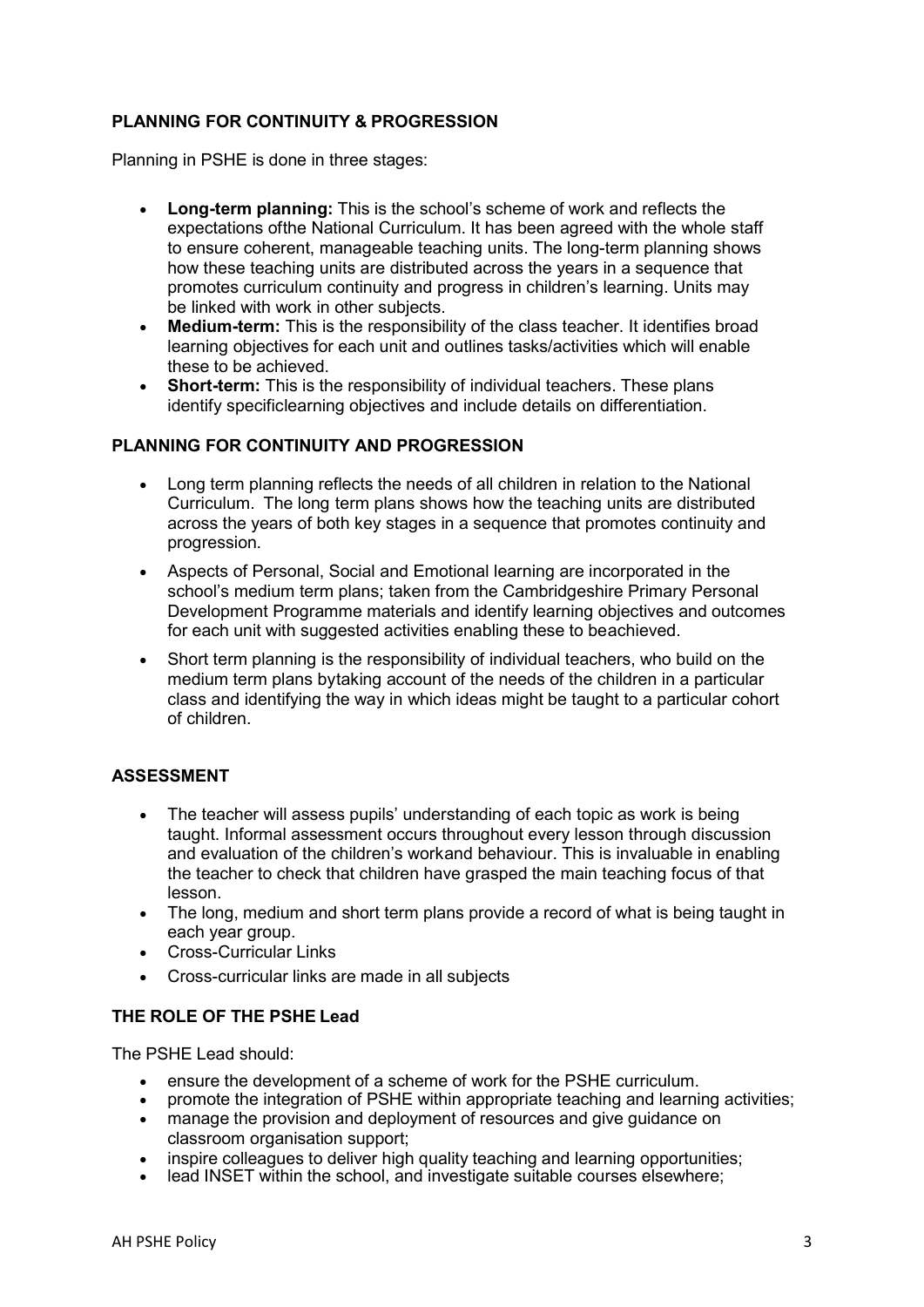# PLANNING FOR CONTINUITY & PROGRESSION

Planning in PSHE is done in three stages:

- Long-term planning: This is the school's scheme of work and reflects the expectations of the National Curriculum. It has been agreed with the whole staff to ensure coherent, manageable teaching units. The long-term planning shows how these teaching units are distributed across the years in a sequence that promotes curriculum continuity and progress in children's learning. Units may be linked with work in other subjects.
- Medium-term: This is the responsibility of the class teacher. It identifies broad learning objectives for each unit and outlines tasks/activities which will enable these to be achieved.
- Short-term: This is the responsibility of individual teachers. These plans identify specific learning objectives and include details on differentiation.

#### PLANNING FOR CONTINUITY AND PROGRESSION

- Long term planning reflects the needs of all children in relation to the National Curriculum. The long term plans shows how the teaching units are distributed across the years of both key stages in a sequence that promotes continuity and progression.
- Aspects of Personal, Social and Emotional learning are incorporated in the school's medium term plans; taken from the Cambridgeshire Primary Personal Development Programme materials and identify learning objectives and outcomes for each unit with suggested activities enabling these to beachieved.
- Short term planning is the responsibility of individual teachers, who build on the medium term plans by taking account of the needs of the children in a particular class and identifying the way in which ideas might be taught to a particular cohort of children.

# ASSESSMENT

- The teacher will assess pupils' understanding of each topic as work is being taught. Informal assessment occurs throughout every lesson through discussion and evaluation of the children's work and behaviour. This is invaluable in enabling the teacher to check that children have grasped the main teaching focus of that lesson.
- The long, medium and short term plans provide a record of what is being taught in each year group.
- Cross-Curricular Links
- Cross-curricular links are made in all subjects

# THE ROLE OF THE PSHE Lead

The PSHE Lead should:

- ensure the development of a scheme of work for the PSHE curriculum.
- promote the integration of PSHE within appropriate teaching and learning activities;
- manage the provision and deployment of resources and give guidance on classroom organisation support;
- inspire colleagues to deliver high quality teaching and learning opportunities;
- lead INSET within the school, and investigate suitable courses elsewhere;